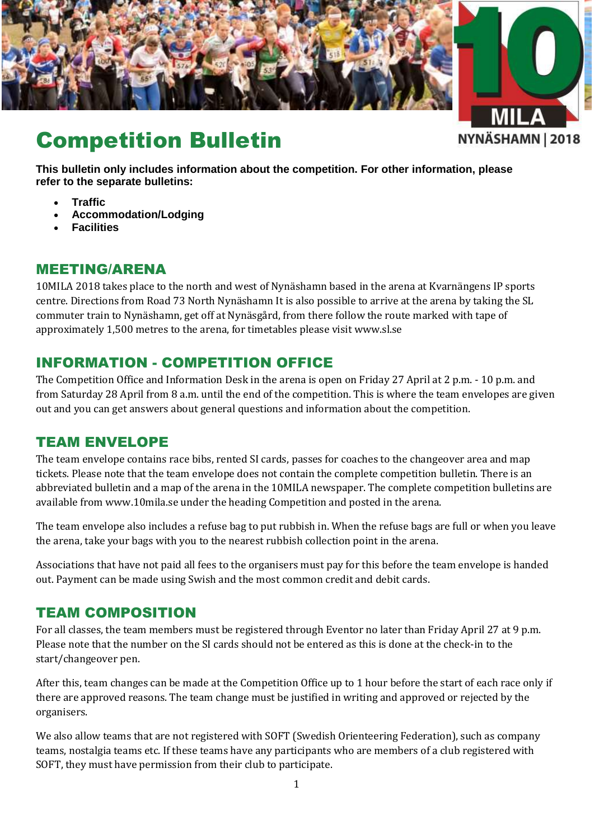

# Competition Bulletin

NYNÄSHAMN | 2018

**This bulletin only includes information about the competition. For other information, please refer to the separate bulletins:**

- **Traffic**
- **Accommodation/Lodging**
- **Facilities**

#### MEETING/ARENA

10MILA 2018 takes place to the north and west of Nynäshamn based in the arena at Kvarnängens IP sports centre. Directions from Road 73 North Nynäshamn It is also possible to arrive at the arena by taking the SL commuter train to Nynäshamn, get off at Nynäsgård, from there follow the route marked with tape of approximately 1,500 metres to the arena, for timetables please visi[t www.sl.se](http://www.sl.se/)

### INFORMATION - COMPETITION OFFICE

The Competition Office and Information Desk in the arena is open on Friday 27 April at 2 p.m. - 10 p.m. and from Saturday 28 April from 8 a.m. until the end of the competition. This is where the team envelopes are given out and you can get answers about general questions and information about the competition.

#### TEAM ENVELOPE

The team envelope contains race bibs, rented SI cards, passes for coaches to the changeover area and map tickets. Please note that the team envelope does not contain the complete competition bulletin. There is an abbreviated bulletin and a map of the arena in the 10MILA newspaper. The complete competition bulletins are available from [www.10mila.se](http://www.10mila.se/) under the heading Competition and posted in the arena.

The team envelope also includes a refuse bag to put rubbish in. When the refuse bags are full or when you leave the arena, take your bags with you to the nearest rubbish collection point in the arena.

Associations that have not paid all fees to the organisers must pay for this before the team envelope is handed out. Payment can be made using Swish and the most common credit and debit cards.

#### TEAM COMPOSITION

For all classes, the team members must be registered through Eventor no later than Friday April 27 at 9 p.m. Please note that the number on the SI cards should not be entered as this is done at the check-in to the start/changeover pen.

After this, team changes can be made at the Competition Office up to 1 hour before the start of each race only if there are approved reasons. The team change must be justified in writing and approved or rejected by the organisers.

We also allow teams that are not registered with SOFT (Swedish Orienteering Federation), such as company teams, nostalgia teams etc. If these teams have any participants who are members of a club registered with SOFT, they must have permission from their club to participate.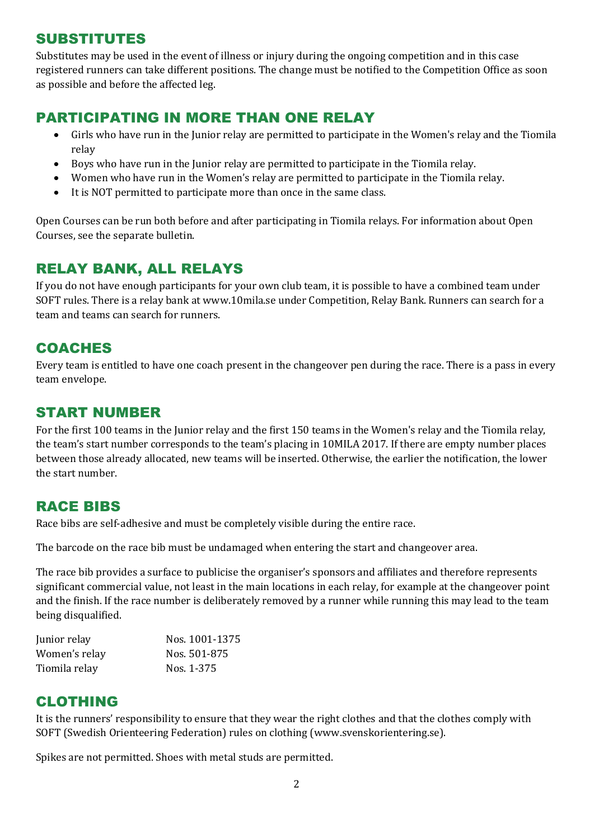### SUBSTITUTES

Substitutes may be used in the event of illness or injury during the ongoing competition and in this case registered runners can take different positions. The change must be notified to the Competition Office as soon as possible and before the affected leg.

# PARTICIPATING IN MORE THAN ONE RELAY

- Girls who have run in the Junior relay are permitted to participate in the Women's relay and the Tiomila relay
- Boys who have run in the Junior relay are permitted to participate in the Tiomila relay.
- Women who have run in the Women's relay are permitted to participate in the Tiomila relay.
- It is NOT permitted to participate more than once in the same class.

Open Courses can be run both before and after participating in Tiomila relays. For information about Open Courses, see the separate bulletin.

# RELAY BANK, ALL RELAYS

If you do not have enough participants for your own club team, it is possible to have a combined team under SOFT rules. There is a relay bank a[t www.10mila.se](http://www.10mila.se/) under Competition, Relay Bank. Runners can search for a team and teams can search for runners.

#### **COACHES**

Every team is entitled to have one coach present in the changeover pen during the race. There is a pass in every team envelope.

#### START NUMBER

For the first 100 teams in the Junior relay and the first 150 teams in the Women's relay and the Tiomila relay, the team's start number corresponds to the team's placing in 10MILA 2017. If there are empty number places between those already allocated, new teams will be inserted. Otherwise, the earlier the notification, the lower the start number.

#### RACE BIBS

Race bibs are self-adhesive and must be completely visible during the entire race.

The barcode on the race bib must be undamaged when entering the start and changeover area.

The race bib provides a surface to publicise the organiser's sponsors and affiliates and therefore represents significant commercial value, not least in the main locations in each relay, for example at the changeover point and the finish. If the race number is deliberately removed by a runner while running this may lead to the team being disqualified.

| Junior relay  | Nos. 1001-1375 |
|---------------|----------------|
| Women's relay | Nos. 501-875   |
| Tiomila relay | Nos. 1-375     |

#### CLOTHING

It is the runners' responsibility to ensure that they wear the right clothes and that the clothes comply with SOFT (Swedish Orienteering Federation) rules on clothing [\(www.svenskorientering.se\)](http://www.svenskorientering.se/).

Spikes are not permitted. Shoes with metal studs are permitted.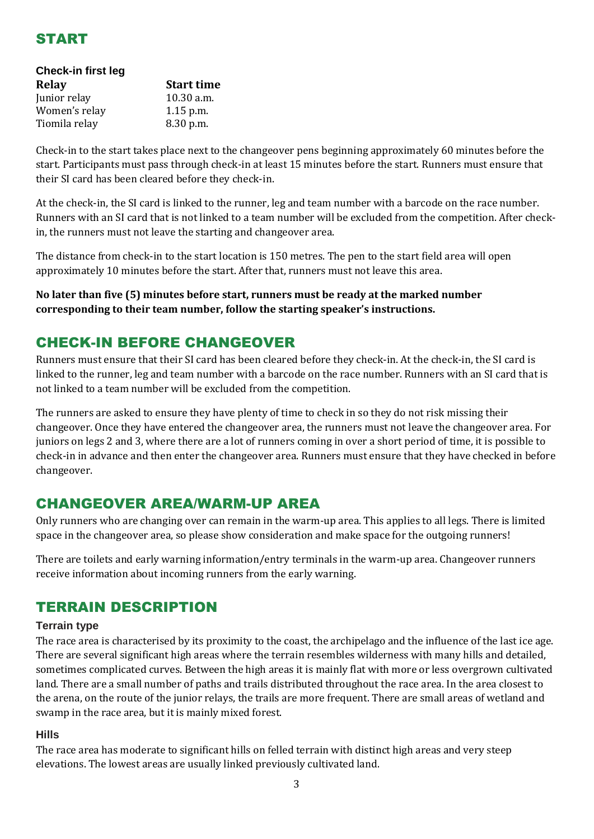

| Check-in first leg |                   |  |  |  |
|--------------------|-------------------|--|--|--|
| Relay              | <b>Start time</b> |  |  |  |
| Junior relay       | 10.30 a.m.        |  |  |  |
| Women's relay      | 1.15 p.m.         |  |  |  |
| Tiomila relay      | 8.30 p.m.         |  |  |  |
|                    |                   |  |  |  |

Check-in to the start takes place next to the changeover pens beginning approximately 60 minutes before the start. Participants must pass through check-in at least 15 minutes before the start. Runners must ensure that their SI card has been cleared before they check-in.

At the check-in, the SI card is linked to the runner, leg and team number with a barcode on the race number. Runners with an SI card that is not linked to a team number will be excluded from the competition. After checkin, the runners must not leave the starting and changeover area.

The distance from check-in to the start location is 150 metres. The pen to the start field area will open approximately 10 minutes before the start. After that, runners must not leave this area.

**No later than five (5) minutes before start, runners must be ready at the marked number corresponding to their team number, follow the starting speaker's instructions.**

### CHECK-IN BEFORE CHANGEOVER

Runners must ensure that their SI card has been cleared before they check-in. At the check-in, the SI card is linked to the runner, leg and team number with a barcode on the race number. Runners with an SI card that is not linked to a team number will be excluded from the competition.

The runners are asked to ensure they have plenty of time to check in so they do not risk missing their changeover. Once they have entered the changeover area, the runners must not leave the changeover area. For juniors on legs 2 and 3, where there are a lot of runners coming in over a short period of time, it is possible to check-in in advance and then enter the changeover area. Runners must ensure that they have checked in before changeover.

#### CHANGEOVER AREA/WARM-UP AREA

Only runners who are changing over can remain in the warm-up area. This applies to all legs. There is limited space in the changeover area, so please show consideration and make space for the outgoing runners!

There are toilets and early warning information/entry terminals in the warm-up area. Changeover runners receive information about incoming runners from the early warning.

# TERRAIN DESCRIPTION

#### **Terrain type**

The race area is characterised by its proximity to the coast, the archipelago and the influence of the last ice age. There are several significant high areas where the terrain resembles wilderness with many hills and detailed, sometimes complicated curves. Between the high areas it is mainly flat with more or less overgrown cultivated land. There are a small number of paths and trails distributed throughout the race area. In the area closest to the arena, on the route of the junior relays, the trails are more frequent. There are small areas of wetland and swamp in the race area, but it is mainly mixed forest.

#### **Hills**

The race area has moderate to significant hills on felled terrain with distinct high areas and very steep elevations. The lowest areas are usually linked previously cultivated land.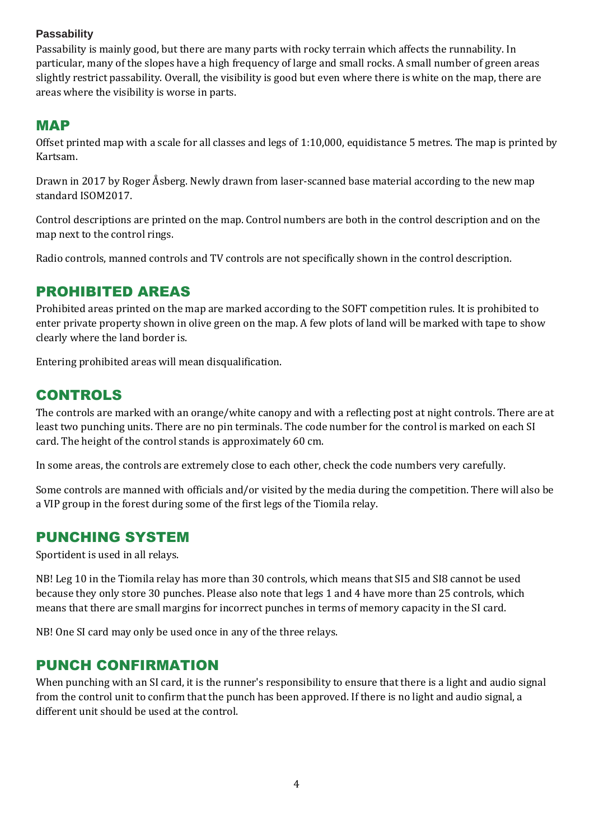#### **Passability**

Passability is mainly good, but there are many parts with rocky terrain which affects the runnability. In particular, many of the slopes have a high frequency of large and small rocks. A small number of green areas slightly restrict passability. Overall, the visibility is good but even where there is white on the map, there are areas where the visibility is worse in parts.

#### MAP

Offset printed map with a scale for all classes and legs of 1:10,000, equidistance 5 metres. The map is printed by Kartsam.

Drawn in 2017 by Roger Åsberg. Newly drawn from laser-scanned base material according to the new map standard ISOM2017.

Control descriptions are printed on the map. Control numbers are both in the control description and on the map next to the control rings.

Radio controls, manned controls and TV controls are not specifically shown in the control description.

# PROHIBITED AREAS

Prohibited areas printed on the map are marked according to the SOFT competition rules. It is prohibited to enter private property shown in olive green on the map. A few plots of land will be marked with tape to show clearly where the land border is.

Entering prohibited areas will mean disqualification.

### CONTROLS

The controls are marked with an orange/white canopy and with a reflecting post at night controls. There are at least two punching units. There are no pin terminals. The code number for the control is marked on each SI card. The height of the control stands is approximately 60 cm.

In some areas, the controls are extremely close to each other, check the code numbers very carefully.

Some controls are manned with officials and/or visited by the media during the competition. There will also be a VIP group in the forest during some of the first legs of the Tiomila relay.

#### PUNCHING SYSTEM

Sportident is used in all relays.

NB! Leg 10 in the Tiomila relay has more than 30 controls, which means that SI5 and SI8 cannot be used because they only store 30 punches. Please also note that legs 1 and 4 have more than 25 controls, which means that there are small margins for incorrect punches in terms of memory capacity in the SI card.

NB! One SI card may only be used once in any of the three relays.

#### PUNCH CONFIRMATION

When punching with an SI card, it is the runner's responsibility to ensure that there is a light and audio signal from the control unit to confirm that the punch has been approved. If there is no light and audio signal, a different unit should be used at the control.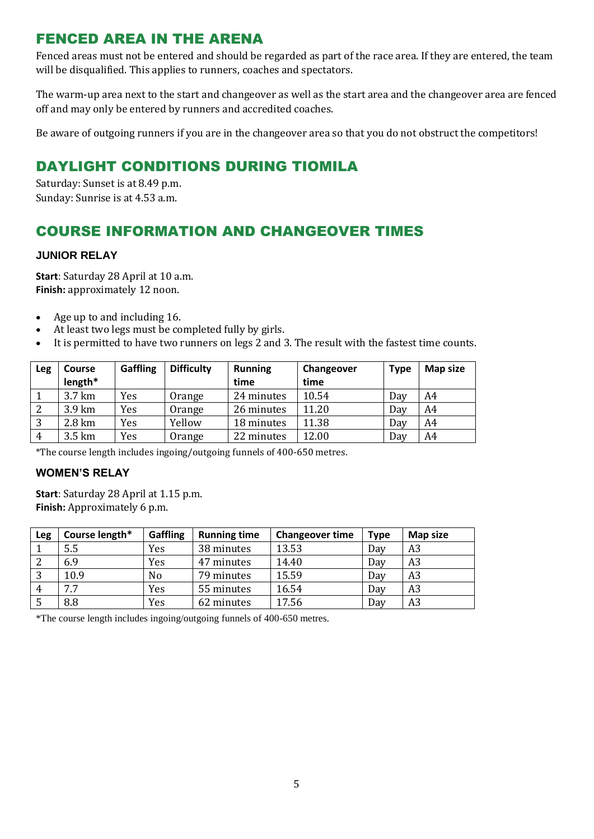# FENCED AREA IN THE ARENA

Fenced areas must not be entered and should be regarded as part of the race area. If they are entered, the team will be disqualified. This applies to runners, coaches and spectators.

The warm-up area next to the start and changeover as well as the start area and the changeover area are fenced off and may only be entered by runners and accredited coaches.

Be aware of outgoing runners if you are in the changeover area so that you do not obstruct the competitors!

# DAYLIGHT CONDITIONS DURING TIOMILA

Saturday: Sunset is at 8.49 p.m. Sunday: Sunrise is at 4.53 a.m.

# COURSE INFORMATION AND CHANGEOVER TIMES

#### **JUNIOR RELAY**

**Start**: Saturday 28 April at 10 a.m. **Finish:** approximately 12 noon.

- Age up to and including 16.
- At least two legs must be completed fully by girls.
- It is permitted to have two runners on legs 2 and 3. The result with the fastest time counts.

| Leg            | <b>Course</b><br>length* | <b>Gaffling</b> | <b>Difficulty</b> | <b>Running</b><br>time | Changeover<br>time | <b>Type</b> | Map size |
|----------------|--------------------------|-----------------|-------------------|------------------------|--------------------|-------------|----------|
|                | 3.7 km                   | Yes             | Orange            | 24 minutes             | 10.54              | Day         | A4       |
| -2             | 3.9 km                   | Yes             | Orange            | 26 minutes             | 11.20              | Day         | A4       |
| 3              | 2.8 km                   | Yes             | Yellow            | 18 minutes             | 11.38              | Day         | A4       |
| $\overline{4}$ | 3.5 km                   | Yes             | Orange            | 22 minutes             | 12.00              | Day         | A4       |

\*The course length includes ingoing/outgoing funnels of 400-650 metres.

#### **WOMEN'S RELAY**

**Start**: Saturday 28 April at 1.15 p.m. **Finish:** Approximately 6 p.m.

| <b>Leg</b>     | Course length* | <b>Gaffling</b> | <b>Running time</b> | <b>Changeover time</b> | <b>Type</b> | Map size       |
|----------------|----------------|-----------------|---------------------|------------------------|-------------|----------------|
|                | 5.5            | Yes             | 38 minutes          | 13.53                  | Day         | A3             |
| -2             | 6.9            | Yes             | 47 minutes          | 14.40                  | Day         | A <sub>3</sub> |
| 3              | 10.9           | No              | 79 minutes          | 15.59                  | Day         | A <sub>3</sub> |
| $\overline{4}$ | 7.7            | Yes             | 55 minutes          | 16.54                  | Day         | A <sub>3</sub> |
| -5             | 8.8            | Yes             | 62 minutes          | 17.56                  | Day         | A <sub>3</sub> |

\*The course length includes ingoing/outgoing funnels of 400-650 metres.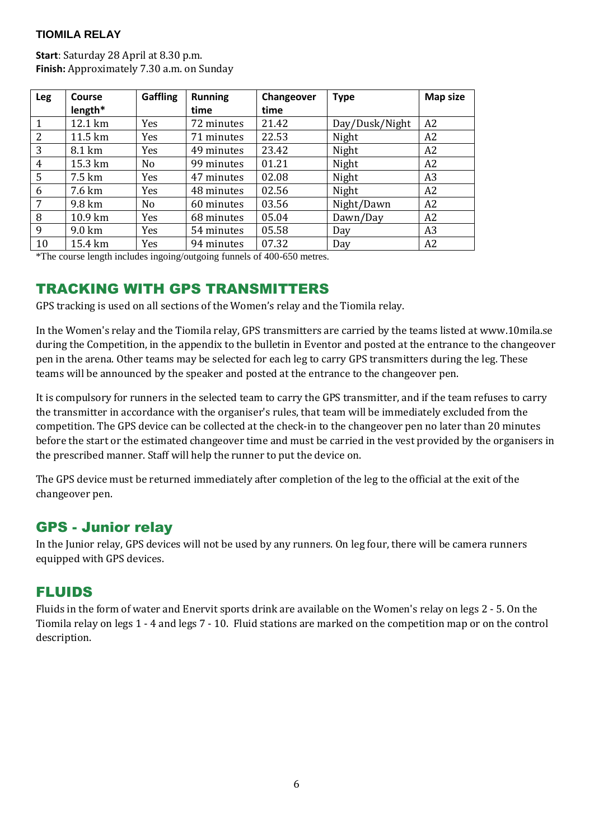#### **TIOMILA RELAY**

**Start**: Saturday 28 April at 8.30 p.m. **Finish:** Approximately 7.30 a.m. on Sunday

| <b>Leg</b>      | Course  | <b>Gaffling</b> | <b>Running</b> | Changeover | <b>Type</b>    | <b>Map size</b> |
|-----------------|---------|-----------------|----------------|------------|----------------|-----------------|
|                 | length* |                 | time           | time       |                |                 |
| $\overline{1}$  | 12.1 km | Yes             | 72 minutes     | 21.42      | Day/Dusk/Night | A <sub>2</sub>  |
| 2               | 11.5 km | Yes             | 71 minutes     | 22.53      | Night          | A <sub>2</sub>  |
| $\overline{3}$  | 8.1 km  | Yes             | 49 minutes     | 23.42      | Night          | A <sub>2</sub>  |
| $\overline{4}$  | 15.3 km | N <sub>o</sub>  | 99 minutes     | 01.21      | Night          | A <sub>2</sub>  |
| $5\overline{)}$ | 7.5 km  | Yes             | 47 minutes     | 02.08      | Night          | A <sub>3</sub>  |
| -6              | 7.6 km  | Yes             | 48 minutes     | 02.56      | Night          | A2              |
| 7               | 9.8 km  | No              | 60 minutes     | 03.56      | Night/Dawn     | A2              |
| 8               | 10.9 km | Yes             | 68 minutes     | 05.04      | Dawn/Day       | A2              |
| 9               | 9.0 km  | <b>Yes</b>      | 54 minutes     | 05.58      | Day            | A <sub>3</sub>  |
| 10              | 15.4 km | Yes             | 94 minutes     | 07.32      | Day            | A <sub>2</sub>  |

\*The course length includes ingoing/outgoing funnels of 400-650 metres.

#### TRACKING WITH GPS TRANSMITTERS

GPS tracking is used on all sections of the Women's relay and the Tiomila relay.

In the Women's relay and the Tiomila relay, GPS transmitters are carried by the teams listed at [www.10mila.se](http://www.10mila.se/) during the Competition, in the appendix to the bulletin in Eventor and posted at the entrance to the changeover pen in the arena. Other teams may be selected for each leg to carry GPS transmitters during the leg. These teams will be announced by the speaker and posted at the entrance to the changeover pen.

It is compulsory for runners in the selected team to carry the GPS transmitter, and if the team refuses to carry the transmitter in accordance with the organiser's rules, that team will be immediately excluded from the competition. The GPS device can be collected at the check-in to the changeover pen no later than 20 minutes before the start or the estimated changeover time and must be carried in the vest provided by the organisers in the prescribed manner. Staff will help the runner to put the device on.

The GPS device must be returned immediately after completion of the leg to the official at the exit of the changeover pen.

#### GPS - Junior relay

In the Junior relay, GPS devices will not be used by any runners. On leg four, there will be camera runners equipped with GPS devices.

#### FLUIDS

Fluids in the form of water and Enervit sports drink are available on the Women's relay on legs 2 - 5. On the Tiomila relay on legs 1 - 4 and legs 7 - 10. Fluid stations are marked on the competition map or on the control description.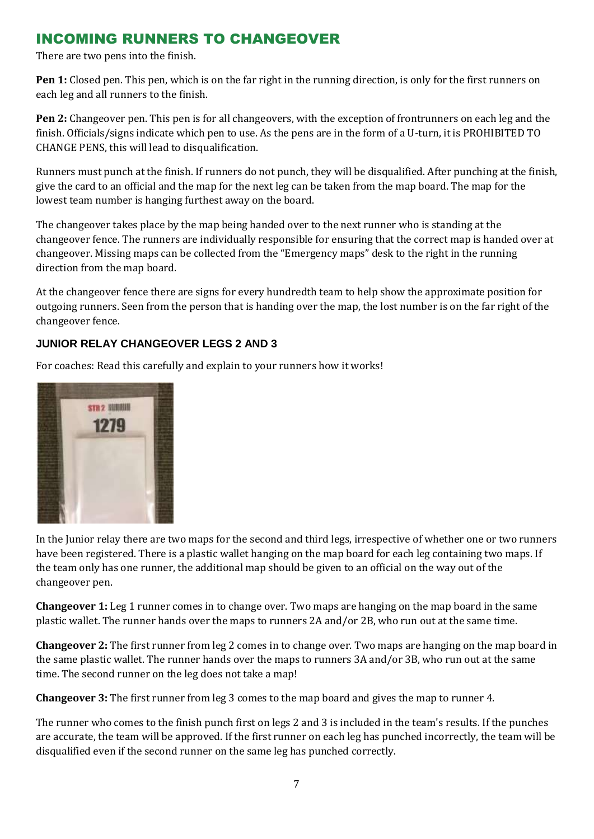# INCOMING RUNNERS TO CHANGEOVER

There are two pens into the finish.

**Pen 1:** Closed pen. This pen, which is on the far right in the running direction, is only for the first runners on each leg and all runners to the finish.

**Pen 2:** Changeover pen. This pen is for all changeovers, with the exception of frontrunners on each leg and the finish. Officials/signs indicate which pen to use. As the pens are in the form of a U-turn, it is PROHIBITED TO CHANGE PENS, this will lead to disqualification.

Runners must punch at the finish. If runners do not punch, they will be disqualified. After punching at the finish, give the card to an official and the map for the next leg can be taken from the map board. The map for the lowest team number is hanging furthest away on the board.

The changeover takes place by the map being handed over to the next runner who is standing at the changeover fence. The runners are individually responsible for ensuring that the correct map is handed over at changeover. Missing maps can be collected from the "Emergency maps" desk to the right in the running direction from the map board.

At the changeover fence there are signs for every hundredth team to help show the approximate position for outgoing runners. Seen from the person that is handing over the map, the lost number is on the far right of the changeover fence.

#### **JUNIOR RELAY CHANGEOVER LEGS 2 AND 3**

For coaches: Read this carefully and explain to your runners how it works!



In the Junior relay there are two maps for the second and third legs, irrespective of whether one or two runners have been registered. There is a plastic wallet hanging on the map board for each leg containing two maps. If the team only has one runner, the additional map should be given to an official on the way out of the changeover pen.

**Changeover 1:** Leg 1 runner comes in to change over. Two maps are hanging on the map board in the same plastic wallet. The runner hands over the maps to runners 2A and/or 2B, who run out at the same time.

**Changeover 2:** The first runner from leg 2 comes in to change over. Two maps are hanging on the map board in the same plastic wallet. The runner hands over the maps to runners 3A and/or 3B, who run out at the same time. The second runner on the leg does not take a map!

**Changeover 3:** The first runner from leg 3 comes to the map board and gives the map to runner 4.

The runner who comes to the finish punch first on legs 2 and 3 is included in the team's results. If the punches are accurate, the team will be approved. If the first runner on each leg has punched incorrectly, the team will be disqualified even if the second runner on the same leg has punched correctly.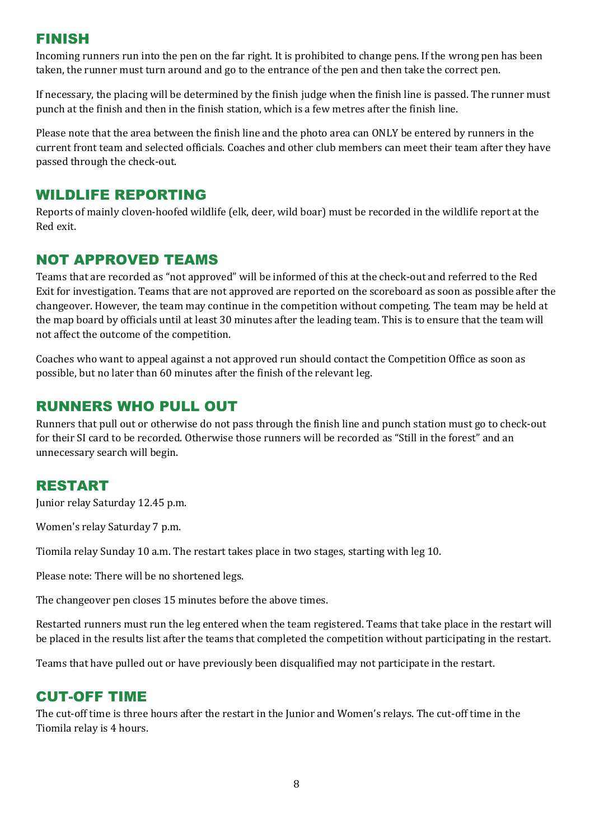### FINISH

Incoming runners run into the pen on the far right. It is prohibited to change pens. If the wrong pen has been taken, the runner must turn around and go to the entrance of the pen and then take the correct pen.

If necessary, the placing will be determined by the finish judge when the finish line is passed. The runner must punch at the finish and then in the finish station, which is a few metres after the finish line.

Please note that the area between the finish line and the photo area can ONLY be entered by runners in the current front team and selected officials. Coaches and other club members can meet their team after they have passed through the check-out.

#### WILDLIFE REPORTING

Reports of mainly cloven-hoofed wildlife (elk, deer, wild boar) must be recorded in the wildlife report at the Red exit.

# NOT APPROVED TEAMS

Teams that are recorded as "not approved" will be informed of this at the check-out and referred to the Red Exit for investigation. Teams that are not approved are reported on the scoreboard as soon as possible after the changeover. However, the team may continue in the competition without competing. The team may be held at the map board by officials until at least 30 minutes after the leading team. This is to ensure that the team will not affect the outcome of the competition.

Coaches who want to appeal against a not approved run should contact the Competition Office as soon as possible, but no later than 60 minutes after the finish of the relevant leg.

### RUNNERS WHO PULL OUT

Runners that pull out or otherwise do not pass through the finish line and punch station must go to check-out for their SI card to be recorded. Otherwise those runners will be recorded as "Still in the forest" and an unnecessary search will begin.

#### RESTART

Junior relay Saturday 12.45 p.m.

Women's relay Saturday 7 p.m.

Tiomila relay Sunday 10 a.m. The restart takes place in two stages, starting with leg 10.

Please note: There will be no shortened legs.

The changeover pen closes 15 minutes before the above times.

Restarted runners must run the leg entered when the team registered. Teams that take place in the restart will be placed in the results list after the teams that completed the competition without participating in the restart.

Teams that have pulled out or have previously been disqualified may not participate in the restart.

#### CUT-OFF TIME

The cut-off time is three hours after the restart in the Junior and Women's relays. The cut-off time in the Tiomila relay is 4 hours.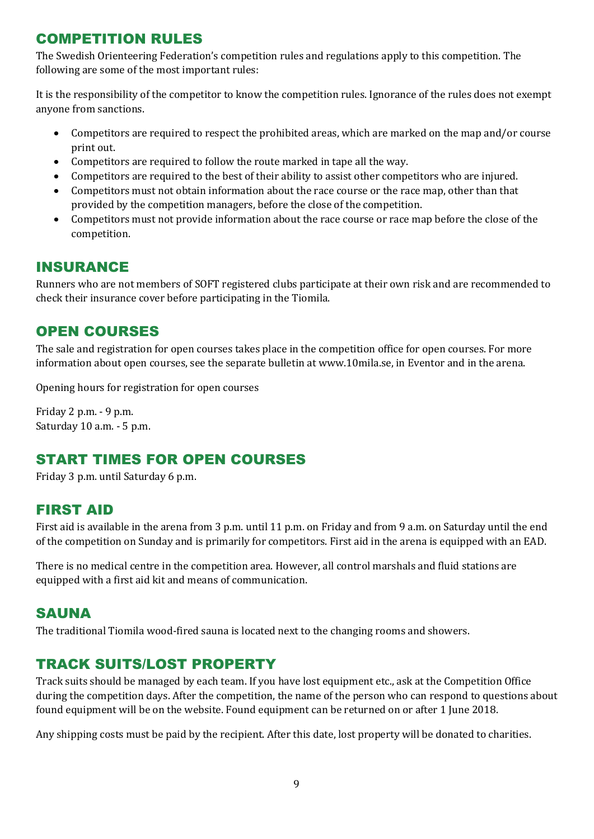# COMPETITION RULES

The Swedish Orienteering Federation's competition rules and regulations apply to this competition. The following are some of the most important rules:

It is the responsibility of the competitor to know the competition rules. Ignorance of the rules does not exempt anyone from sanctions.

- Competitors are required to respect the prohibited areas, which are marked on the map and/or course print out.
- Competitors are required to follow the route marked in tape all the way.
- Competitors are required to the best of their ability to assist other competitors who are injured.
- Competitors must not obtain information about the race course or the race map, other than that provided by the competition managers, before the close of the competition.
- Competitors must not provide information about the race course or race map before the close of the competition.

#### INSURANCE

Runners who are not members of SOFT registered clubs participate at their own risk and are recommended to check their insurance cover before participating in the Tiomila.

#### OPEN COURSES

The sale and registration for open courses takes place in the competition office for open courses. For more information about open courses, see the separate bulletin at www.10mila.se, in Eventor and in the arena.

Opening hours for registration for open courses

Friday 2 p.m. - 9 p.m. Saturday 10 a.m. - 5 p.m.

# START TIMES FOR OPEN COURSES

Friday 3 p.m. until Saturday 6 p.m.

#### FIRST AID

First aid is available in the arena from 3 p.m. until 11 p.m. on Friday and from 9 a.m. on Saturday until the end of the competition on Sunday and is primarily for competitors. First aid in the arena is equipped with an EAD.

There is no medical centre in the competition area. However, all control marshals and fluid stations are equipped with a first aid kit and means of communication.

#### SAUNA

The traditional Tiomila wood-fired sauna is located next to the changing rooms and showers.

#### TRACK SUITS/LOST PROPERTY

Track suits should be managed by each team. If you have lost equipment etc., ask at the Competition Office during the competition days. After the competition, the name of the person who can respond to questions about found equipment will be on the website. Found equipment can be returned on or after 1 June 2018.

Any shipping costs must be paid by the recipient. After this date, lost property will be donated to charities.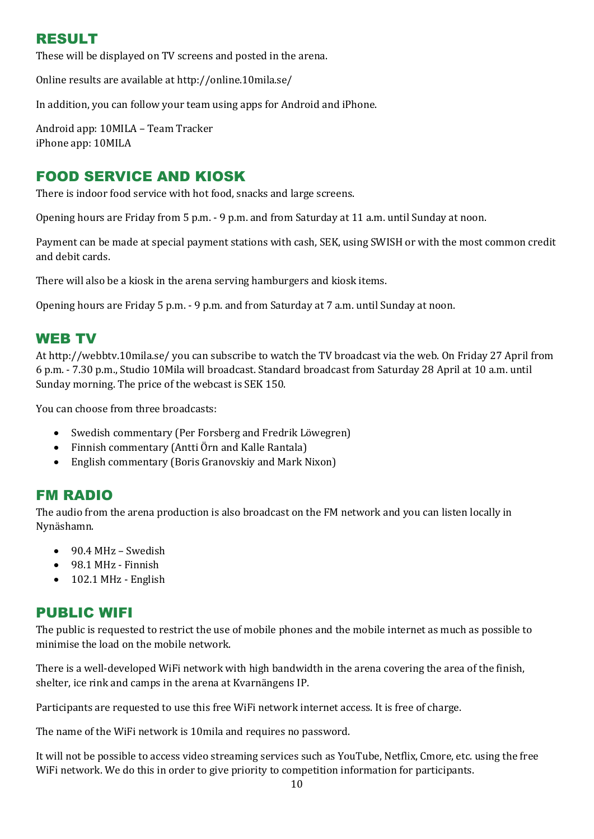# RESULT

These will be displayed on TV screens and posted in the arena.

Online results are available at <http://online.10mila.se/>

In addition, you can follow your team using apps for Android and iPhone.

Android app: 10MILA – Team Tracker iPhone app: 10MILA

### FOOD SERVICE AND KIOSK

There is indoor food service with hot food, snacks and large screens.

Opening hours are Friday from 5 p.m. - 9 p.m. and from Saturday at 11 a.m. until Sunday at noon.

Payment can be made at special payment stations with cash, SEK, using SWISH or with the most common credit and debit cards.

There will also be a kiosk in the arena serving hamburgers and kiosk items.

Opening hours are Friday 5 p.m. - 9 p.m. and from Saturday at 7 a.m. until Sunday at noon.

#### WEB TV

At<http://webbtv.10mila.se/> you can subscribe to watch the TV broadcast via the web. On Friday 27 April from 6 p.m. - 7.30 p.m., Studio 10Mila will broadcast. Standard broadcast from Saturday 28 April at 10 a.m. until Sunday morning. The price of the webcast is SEK 150.

You can choose from three broadcasts:

- Swedish commentary (Per Forsberg and Fredrik Löwegren)
- Finnish commentary (Antti Örn and Kalle Rantala)
- English commentary (Boris Granovskiy and Mark Nixon)

#### FM RADIO

The audio from the arena production is also broadcast on the FM network and you can listen locally in Nynäshamn.

- 90.4 MHz Swedish
- 98.1 MHz Finnish
- 102.1 MHz English

#### PUBLIC WIFI

The public is requested to restrict the use of mobile phones and the mobile internet as much as possible to minimise the load on the mobile network.

There is a well-developed WiFi network with high bandwidth in the arena covering the area of the finish, shelter, ice rink and camps in the arena at Kvarnängens IP.

Participants are requested to use this free WiFi network internet access. It is free of charge.

The name of the WiFi network is 10mila and requires no password.

It will not be possible to access video streaming services such as YouTube, Netflix, Cmore, etc. using the free WiFi network. We do this in order to give priority to competition information for participants.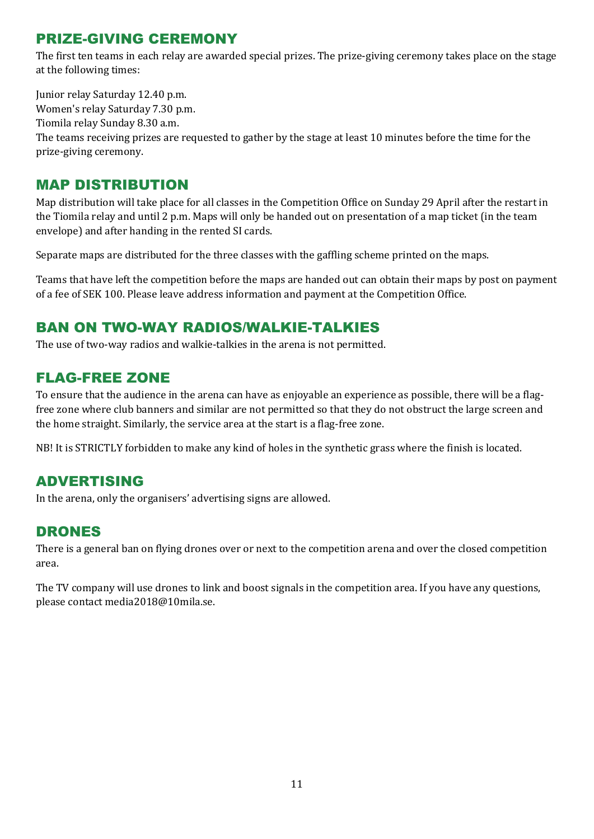# PRIZE-GIVING CEREMONY

The first ten teams in each relay are awarded special prizes. The prize-giving ceremony takes place on the stage at the following times:

Junior relay Saturday 12.40 p.m. Women's relay Saturday 7.30 p.m. Tiomila relay Sunday 8.30 a.m. The teams receiving prizes are requested to gather by the stage at least 10 minutes before the time for the

prize-giving ceremony.

#### MAP DISTRIBUTION

Map distribution will take place for all classes in the Competition Office on Sunday 29 April after the restart in the Tiomila relay and until 2 p.m. Maps will only be handed out on presentation of a map ticket (in the team envelope) and after handing in the rented SI cards.

Separate maps are distributed for the three classes with the gaffling scheme printed on the maps.

Teams that have left the competition before the maps are handed out can obtain their maps by post on payment of a fee of SEK 100. Please leave address information and payment at the Competition Office.

# BAN ON TWO-WAY RADIOS/WALKIE-TALKIES

The use of two-way radios and walkie-talkies in the arena is not permitted.

#### FLAG-FREE ZONE

To ensure that the audience in the arena can have as enjoyable an experience as possible, there will be a flagfree zone where club banners and similar are not permitted so that they do not obstruct the large screen and the home straight. Similarly, the service area at the start is a flag-free zone.

NB! It is STRICTLY forbidden to make any kind of holes in the synthetic grass where the finish is located.

#### ADVERTISING

In the arena, only the organisers' advertising signs are allowed.

#### DRONES

There is a general ban on flying drones over or next to the competition arena and over the closed competition area.

The TV company will use drones to link and boost signals in the competition area. If you have any questions, please contact [media2018@10mila.se.](mailto:media2018@10mila.se)